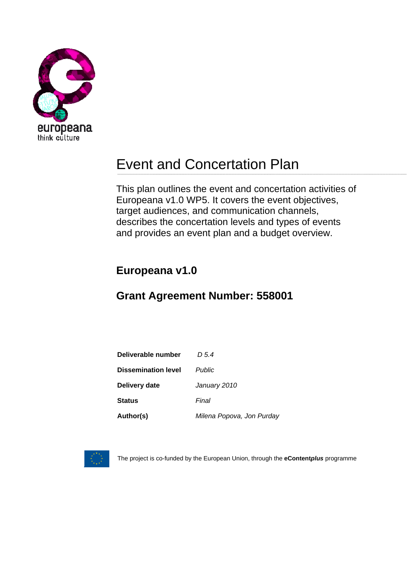

# Event and Concertation Plan

This plan outlines the event and concertation activities of Europeana v1.0 WP5. It covers the event objectives, target audiences, and communication channels, describes the concertation levels and types of events and provides an event plan and a budget overview.

## **Europeana v1.0**

## **Grant Agreement Number: 558001**

| Deliverable number         | D 5.4                     |
|----------------------------|---------------------------|
| <b>Dissemination level</b> | <b>Public</b>             |
| Delivery date              | January 2010              |
| <b>Status</b>              | Final                     |
| Author(s)                  | Milena Popova, Jon Purday |



The project is co-funded by the European Union, through the **eContent***plus* programme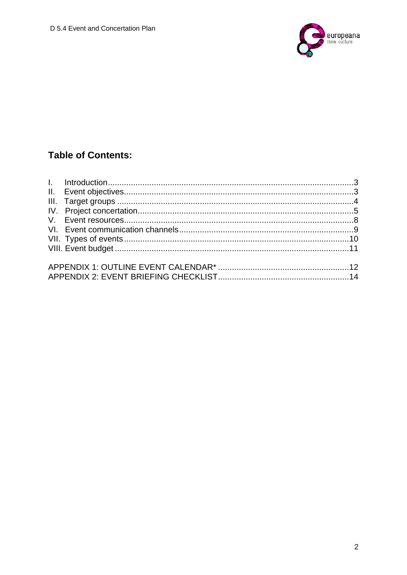

## **Table of Contents:**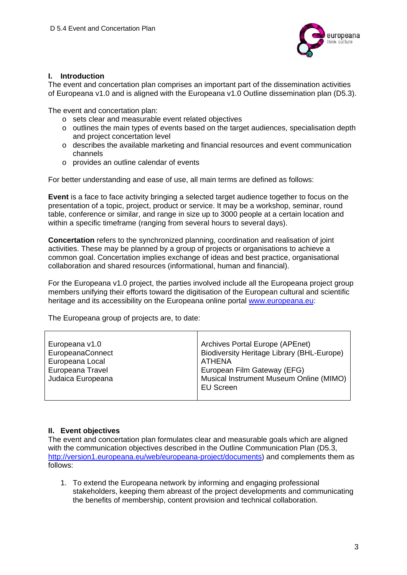

#### **I. Introduction**

The event and concertation plan comprises an important part of the dissemination activities of Europeana v1.0 and is aligned with the Europeana v1.0 Outline dissemination plan (D5.3).

The event and concertation plan:

- o sets clear and measurable event related objectives
- $\circ$  outlines the main types of events based on the target audiences, specialisation depth and project concertation level
- o describes the available marketing and financial resources and event communication channels
- o provides an outline calendar of events

For better understanding and ease of use, all main terms are defined as follows:

**Event** is a face to face activity bringing a selected target audience together to focus on the presentation of a topic, project, product or service. It may be a workshop, seminar, round table, conference or similar, and range in size up to 3000 people at a certain location and within a specific timeframe (ranging from several hours to several days).

**Concertation** refers to the synchronized planning, coordination and realisation of joint activities. These may be planned by a group of projects or organisations to achieve a common goal. Concertation implies exchange of ideas and best practice, organisational collaboration and shared resources (informational, human and financial).

For the Europeana v1.0 project, the parties involved include all the Europeana project group members unifying their efforts toward the digitisation of the European cultural and scientific heritage and its accessibility on the Europeana online portal www.europeana.eu:

The Europeana group of projects are, to date:

| Europeana v1.0<br>EuropeanaConnect<br>Europeana Local<br>Europeana Travel<br>Judaica Europeana | Archives Portal Europe (APEnet)<br><b>Biodiversity Heritage Library (BHL-Europe)</b><br>ATHENA<br>European Film Gateway (EFG)<br>Musical Instrument Museum Online (MIMO)<br><b>EU Screen</b> |
|------------------------------------------------------------------------------------------------|----------------------------------------------------------------------------------------------------------------------------------------------------------------------------------------------|
|                                                                                                |                                                                                                                                                                                              |

#### **II. Event objectives**

The event and concertation plan formulates clear and measurable goals which are aligned with the communication objectives described in the Outline Communication Plan (D5.3, http://version1.europeana.eu/web/europeana-project/documents) and complements them as follows:

1. To extend the Europeana network by informing and engaging professional stakeholders, keeping them abreast of the project developments and communicating the benefits of membership, content provision and technical collaboration.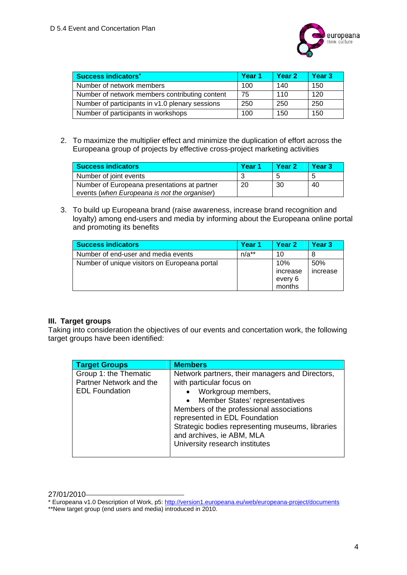

| <b>Success indicators*</b>                      | Year 1 | Year <sub>2</sub> | Year <sub>3</sub> |
|-------------------------------------------------|--------|-------------------|-------------------|
| Number of network members                       | 100    | 140               | 150               |
| Number of network members contributing content  | 75     | 110               | 120               |
| Number of participants in v1.0 plenary sessions | 250    | 250               | 250               |
| Number of participants in workshops             | 100    | 150               | 150               |

2. To maximize the multiplier effect and minimize the duplication of effort across the Europeana group of projects by effective cross-project marketing activities

| <b>Success indicators</b>                                                                    | Year <sub>1</sub> | Year <sub>2</sub> | Year <sub>3</sub> |
|----------------------------------------------------------------------------------------------|-------------------|-------------------|-------------------|
| Number of joint events                                                                       |                   |                   | đ                 |
| Number of Europeana presentations at partner<br>events (when Europeana is not the organiser) | 20                | -30               | 40                |

3. To build up Europeana brand (raise awareness, increase brand recognition and loyalty) among end-users and media by informing about the Europeana online portal and promoting its benefits

| <b>Success indicators</b>                     | Year 1  | Year <sub>2</sub>                    | Year <sub>3</sub> |
|-----------------------------------------------|---------|--------------------------------------|-------------------|
| Number of end-user and media events           | $n/a**$ | 10                                   | 8                 |
| Number of unique visitors on Europeana portal |         | 10%<br>increase<br>every 6<br>months | 50%<br>increase   |

#### **III. Target groups**

Taking into consideration the objectives of our events and concertation work, the following target groups have been identified:

| <b>Target Groups</b>                                                      | <b>Members</b>                                                                                                                                                                                                                                                                                                                                                |
|---------------------------------------------------------------------------|---------------------------------------------------------------------------------------------------------------------------------------------------------------------------------------------------------------------------------------------------------------------------------------------------------------------------------------------------------------|
| Group 1: the Thematic<br>Partner Network and the<br><b>EDL Foundation</b> | Network partners, their managers and Directors,<br>with particular focus on<br>Workgroup members,<br>$\bullet$<br>Member States' representatives<br>$\bullet$<br>Members of the professional associations<br>represented in EDL Foundation<br>Strategic bodies representing museums, libraries<br>and archives, ie ABM, MLA<br>University research institutes |

<sup>27/01/2010</sup> 

<sup>\*</sup> Europeana v1.0 Description of Work, p5: http://version1.europeana.eu/web/europeana-project/documents

<sup>\*</sup>New target group (end users and media) introduced in 2010.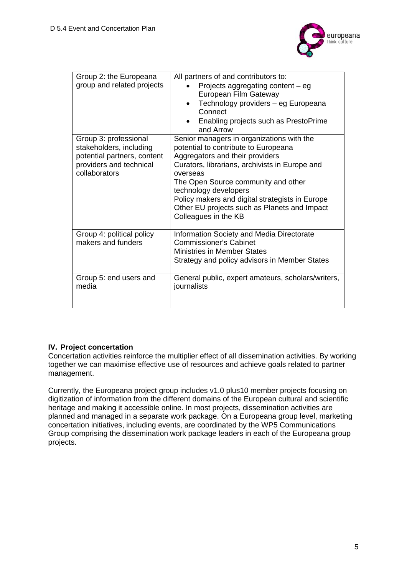

| Group 2: the Europeana<br>group and related projects                                                                        | All partners of and contributors to:<br>Projects aggregating content - eg<br>European Film Gateway<br>Technology providers - eg Europeana<br>Connect<br>Enabling projects such as PrestoPrime<br>and Arrow                                                                                                                                                                    |
|-----------------------------------------------------------------------------------------------------------------------------|-------------------------------------------------------------------------------------------------------------------------------------------------------------------------------------------------------------------------------------------------------------------------------------------------------------------------------------------------------------------------------|
| Group 3: professional<br>stakeholders, including<br>potential partners, content<br>providers and technical<br>collaborators | Senior managers in organizations with the<br>potential to contribute to Europeana<br>Aggregators and their providers<br>Curators, librarians, archivists in Europe and<br>overseas<br>The Open Source community and other<br>technology developers<br>Policy makers and digital strategists in Europe<br>Other EU projects such as Planets and Impact<br>Colleagues in the KB |
| Group 4: political policy<br>makers and funders                                                                             | <b>Information Society and Media Directorate</b><br><b>Commissioner's Cabinet</b><br><b>Ministries in Member States</b><br>Strategy and policy advisors in Member States                                                                                                                                                                                                      |
| Group 5: end users and<br>media                                                                                             | General public, expert amateurs, scholars/writers,<br>journalists                                                                                                                                                                                                                                                                                                             |

#### **IV. Project concertation**

Concertation activities reinforce the multiplier effect of all dissemination activities. By working together we can maximise effective use of resources and achieve goals related to partner management.

Currently, the Europeana project group includes v1.0 plus10 member projects focusing on digitization of information from the different domains of the European cultural and scientific heritage and making it accessible online. In most projects, dissemination activities are planned and managed in a separate work package. On a Europeana group level, marketing concertation initiatives, including events, are coordinated by the WP5 Communications Group comprising the dissemination work package leaders in each of the Europeana group projects.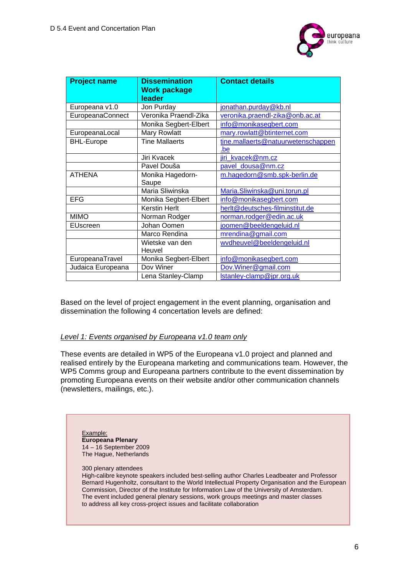

| <b>Project name</b> | <b>Dissemination</b><br><b>Work package</b> | <b>Contact details</b>             |
|---------------------|---------------------------------------------|------------------------------------|
|                     | leader                                      |                                    |
| Europeana v1.0      | Jon Purday                                  | jonathan.purday@kb.nl              |
| EuropeanaConnect    | Veronika Praendl-Zika                       | veronika.praendl-zika@onb.ac.at    |
|                     | Monika Segbert-Elbert                       | info@monikasegbert.com             |
| EuropeanaLocal      | Mary Rowlatt                                | mary.rowlatt@btinternet.com        |
| <b>BHL-Europe</b>   | <b>Tine Mallaerts</b>                       | tine.mallaerts@natuurwetenschappen |
|                     |                                             | .be                                |
|                     | Jiri Kvacek                                 | jiri_kvacek@nm.cz                  |
|                     | Pavel Douša                                 | pavel dousa@nm.cz                  |
| <b>ATHENA</b>       | Monika Hagedorn-                            | m.hagedorn@smb.spk-berlin.de       |
|                     | Saupe                                       |                                    |
|                     | Maria Sliwinska                             | Maria.Sliwinska@uni.torun.pl       |
| <b>EFG</b>          | Monika Segbert-Elbert                       | info@monikasegbert.com             |
|                     | <b>Kerstin Herlt</b>                        | herlt@deutsches-filminstitut.de    |
| <b>MIMO</b>         | Norman Rodger                               | norman.rodger@edin.ac.uk           |
| EUscreen            | Johan Oomen                                 | joomen@beeldengeluid.nl            |
|                     | Marco Rendina                               | mrendina@gmail.com                 |
|                     | Wietske van den                             | wydheuvel@beeldengeluid.nl         |
|                     | Heuvel                                      |                                    |
| EuropeanaTravel     | Monika Segbert-Elbert                       | info@monikasegbert.com             |
| Judaica Europeana   | Dov Winer                                   | Dov. Winer@gmail.com               |
|                     | Lena Stanley-Clamp                          | Istanley-clamp@jpr.org.uk          |

 Based on the level of project engagement in the event planning, organisation and dissemination the following 4 concertation levels are defined:

#### *Level 1: Events organised by Europeana v1.0 team only*

These events are detailed in WP5 of the Europeana v1.0 project and planned and realised entirely by the Europeana marketing and communications team. However, the WP5 Comms group and Europeana partners contribute to the event dissemination by promoting Europeana events on their website and/or other communication channels (newsletters, mailings, etc.).

Example: **Europeana Plenary**  14 – 16 September 2009 The Hague, Netherlands

300 plenary attendees

High-calibre keynote speakers included best-selling author Charles Leadbeater and Professor Bernard Hugenholtz, consultant to the World Intellectual Property Organisation and the European Commission, Director of the Institute for Information Law of the University of Amsterdam. The event included general plenary sessions, work groups meetings and master classes to address all key cross-project issues and facilitate collaboration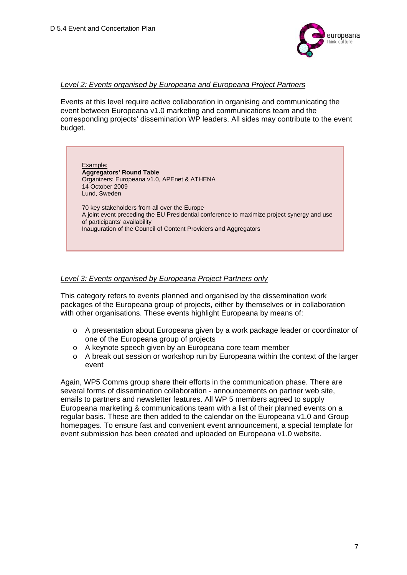

#### *Level 2: Events organised by Europeana and Europeana Project Partners*

 Events at this level require active collaboration in organising and communicating the event between Europeana v1.0 marketing and communications team and the corresponding projects' dissemination WP leaders. All sides may contribute to the event budget.

Example: **Aggregators' Round Table**  Organizers: Europeana v1.0, APEnet & ATHENA 14 October 2009 Lund, Sweden 70 key stakeholders from all over the Europe A joint event preceding the EU Presidential conference to maximize project synergy and use of participants' availability Inauguration of the Council of Content Providers and Aggregators

#### *Level 3: Events organised by Europeana Project Partners only*

 This category refers to events planned and organised by the dissemination work packages of the Europeana group of projects, either by themselves or in collaboration with other organisations. These events highlight Europeana by means of:

- o A presentation about Europeana given by a work package leader or coordinator of one of the Europeana group of projects
- o A keynote speech given by an Europeana core team member
- o A break out session or workshop run by Europeana within the context of the larger event

Again, WP5 Comms group share their efforts in the communication phase. There are several forms of dissemination collaboration - announcements on partner web site, emails to partners and newsletter features. All WP 5 members agreed to supply Europeana marketing & communications team with a list of their planned events on a regular basis. These are then added to the calendar on the Europeana v1.0 and Group homepages. To ensure fast and convenient event announcement, a special template for event submission has been created and uploaded on Europeana v1.0 website.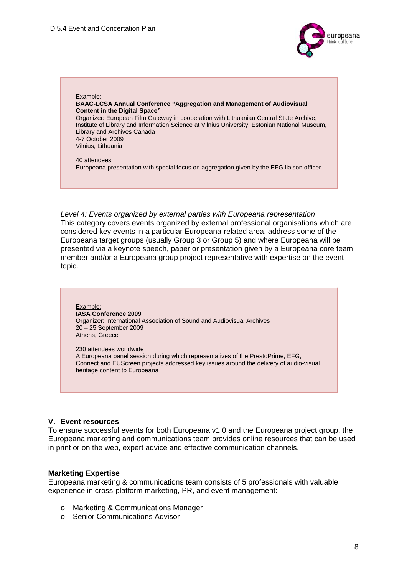

Example: **BAAC-LCSA Annual Conference "Aggregation and Management of Audiovisual Content in the Digital Space"**  Organizer: European Film Gateway in cooperation with Lithuanian Central State Archive, Institute of Library and Information Science at Vilnius University, Estonian National Museum, Library and Archives Canada 4-7 October 2009 Vilnius, Lithuania 40 attendees Europeana presentation with special focus on aggregation given by the EFG liaison officer

#### *Level 4: Events organized by external parties with Europeana representation*

 This category covers events organized by external professional organisations which are considered key events in a particular Europeana-related area, address some of the Europeana target groups (usually Group 3 or Group 5) and where Europeana will be presented via a keynote speech, paper or presentation given by a Europeana core team member and/or a Europeana group project representative with expertise on the event topic.

#### Example: **IASA Conference 2009**  Organizer: International Association of Sound and Audiovisual Archives 20 – 25 September 2009 Athens, Greece

230 attendees worldwide A Europeana panel session during which representatives of the PrestoPrime, EFG, Connect and EUScreen projects addressed key issues around the delivery of audio-visual heritage content to Europeana

#### **V. Event resources**

To ensure successful events for both Europeana v1.0 and the Europeana project group, the Europeana marketing and communications team provides online resources that can be used in print or on the web, expert advice and effective communication channels.

#### **Marketing Expertise**

Europeana marketing & communications team consists of 5 professionals with valuable experience in cross-platform marketing, PR, and event management:

- o Marketing & Communications Manager
- o Senior Communications Advisor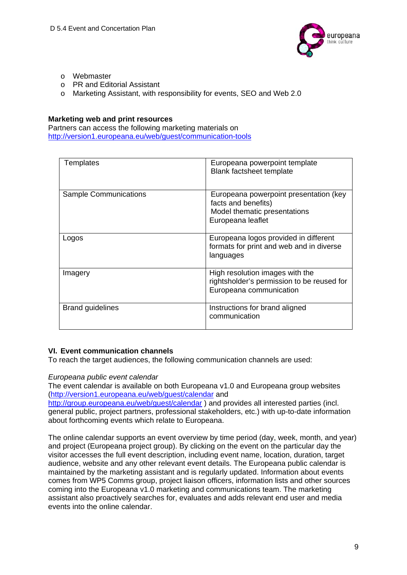

- o Webmaster
- o PR and Editorial Assistant
- o Marketing Assistant, with responsibility for events, SEO and Web 2.0

#### **Marketing web and print resources**

Partners can access the following marketing materials on http://version1.europeana.eu/web/guest/communication-tools

| Templates                    | Europeana powerpoint template<br><b>Blank factsheet template</b>                                                   |
|------------------------------|--------------------------------------------------------------------------------------------------------------------|
| <b>Sample Communications</b> | Europeana powerpoint presentation (key<br>facts and benefits)<br>Model thematic presentations<br>Europeana leaflet |
| Logos                        | Europeana logos provided in different<br>formats for print and web and in diverse<br>languages                     |
| Imagery                      | High resolution images with the<br>rightsholder's permission to be reused for<br>Europeana communication           |
| <b>Brand guidelines</b>      | Instructions for brand aligned<br>communication                                                                    |

#### **VI. Event communication channels**

To reach the target audiences, the following communication channels are used:

#### *Europeana public event calendar*

The event calendar is available on both Europeana v1.0 and Europeana group websites (http://version1.europeana.eu/web/guest/calendar and

http://group.europeana.eu/web/guest/calendar ) and provides all interested parties (incl. general public, project partners, professional stakeholders, etc.) with up-to-date information about forthcoming events which relate to Europeana.

The online calendar supports an event overview by time period (day, week, month, and year) and project (Europeana project group). By clicking on the event on the particular day the visitor accesses the full event description, including event name, location, duration, target audience, website and any other relevant event details. The Europeana public calendar is maintained by the marketing assistant and is regularly updated. Information about events comes from WP5 Comms group, project liaison officers, information lists and other sources coming into the Europeana v1.0 marketing and communications team. The marketing assistant also proactively searches for, evaluates and adds relevant end user and media events into the online calendar.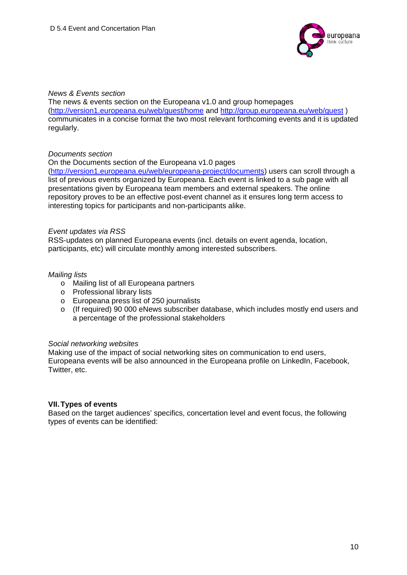

#### *News & Events section*

The news & events section on the Europeana v1.0 and group homepages (http://version1.europeana.eu/web/guest/home and http://group.europeana.eu/web/guest ) communicates in a concise format the two most relevant forthcoming events and it is updated regularly.

#### *Documents section*

On the Documents section of the Europeana v1.0 pages

(http://version1.europeana.eu/web/europeana-project/documents) users can scroll through a list of previous events organized by Europeana. Each event is linked to a sub page with all presentations given by Europeana team members and external speakers. The online repository proves to be an effective post-event channel as it ensures long term access to interesting topics for participants and non-participants alike.

#### *Event updates via RSS*

RSS-updates on planned Europeana events (incl. details on event agenda, location, participants, etc) will circulate monthly among interested subscribers.

#### *Mailing lists*

- o Mailing list of all Europeana partners
- o Professional library lists
- o Europeana press list of 250 journalists
- o (If required) 90 000 eNews subscriber database, which includes mostly end users and a percentage of the professional stakeholders

#### *Social networking websites*

Making use of the impact of social networking sites on communication to end users, Europeana events will be also announced in the Europeana profile on LinkedIn, Facebook, Twitter, etc.

#### **VII. Types of events**

Based on the target audiences' specifics, concertation level and event focus, the following types of events can be identified: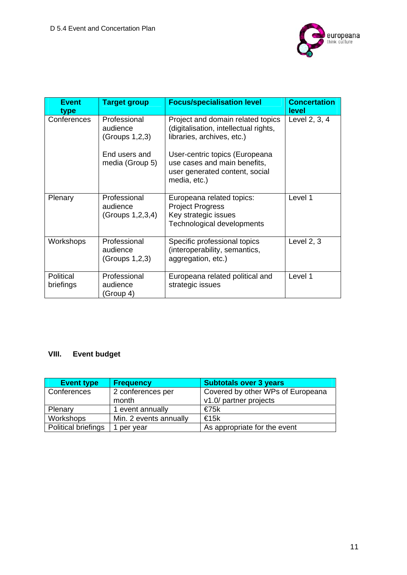

| <b>Event</b><br>type   | <b>Target group</b>                          | <b>Focus/specialisation level</b>                                                                                | <b>Concertation</b><br><b>level</b> |
|------------------------|----------------------------------------------|------------------------------------------------------------------------------------------------------------------|-------------------------------------|
| Conferences            | Professional<br>audience<br>(Groups 1,2,3)   | Project and domain related topics<br>(digitalisation, intellectual rights,<br>libraries, archives, etc.)         | Level 2, 3, 4                       |
|                        | End users and<br>media (Group 5)             | User-centric topics (Europeana<br>use cases and main benefits,<br>user generated content, social<br>media, etc.) |                                     |
| Plenary                | Professional<br>audience<br>(Groups 1,2,3,4) | Europeana related topics:<br><b>Project Progress</b><br>Key strategic issues<br>Technological developments       | Level 1                             |
| Workshops              | Professional<br>audience<br>(Groups 1,2,3)   | Specific professional topics<br>(interoperability, semantics,<br>aggregation, etc.)                              | Level $2, 3$                        |
| Political<br>briefings | Professional<br>audience<br>(Group 4)        | Europeana related political and<br>strategic issues                                                              | Level 1                             |

#### **VIII. Event budget**

| <b>Event type</b>          | <b>Frequency</b>       | <b>Subtotals over 3 years</b>     |
|----------------------------|------------------------|-----------------------------------|
| Conferences                | 2 conferences per      | Covered by other WPs of Europeana |
|                            | month                  | v1.0/ partner projects            |
| Plenary                    | 1 event annually       | €75k                              |
| Workshops                  | Min. 2 events annually | €15k                              |
| <b>Political briefings</b> | per year               | As appropriate for the event      |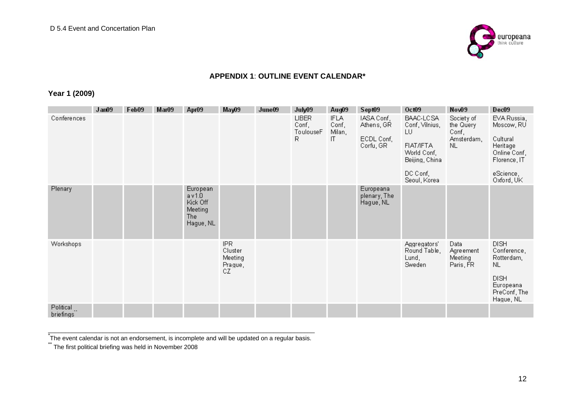

#### **APPENDIX 1**: **OUTLINE EVENT CALENDAR\***

#### **Year 1 (2009)**

|                        | Jan09 | Feb09 | Mar09 | Apr09                                                        | May09                                             | June09 | July09                                  | Aug09                                | Sept09                                              | Oct09                                                                                                       | Nov09                                                 | Dec09                                                                                                        |
|------------------------|-------|-------|-------|--------------------------------------------------------------|---------------------------------------------------|--------|-----------------------------------------|--------------------------------------|-----------------------------------------------------|-------------------------------------------------------------------------------------------------------------|-------------------------------------------------------|--------------------------------------------------------------------------------------------------------------|
| Conferences            |       |       |       |                                                              |                                                   |        | <b>LIBER</b><br>Conf,<br>ToulouseF<br>R | <b>IFLA</b><br>Conf,<br>Milan,<br>IT | IASA Conf,<br>Athens, GR<br>ECDL Conf,<br>Corfu, GR | BAAC-LCSA<br>Conf, Vilnius,<br>LU<br>FIAT/IFTA<br>World Conf,<br>Beijing, China<br>DC Conf,<br>Seoul, Korea | Society of<br>the Query<br>Conf,<br>Amsterdam,<br>NL. | EVA Russia,<br>Moscow, RU<br>Cultural<br>Heritage<br>Online Conf,<br>Florence, IT<br>eScience,<br>Oxford, UK |
| Plenary                |       |       |       | European<br>av1.0<br>Kick Off<br>Meeting<br>The<br>Hague, NL |                                                   |        |                                         |                                      | Europeana<br>plenary, The<br>Hague, NL              |                                                                                                             |                                                       |                                                                                                              |
| <b>Workshops</b>       |       |       |       |                                                              | <b>IPR</b><br>Cluster<br>Meeting<br>Prague,<br>CZ |        |                                         |                                      |                                                     | Aggregators'<br>Round Table,<br>Lund,<br>Sweden                                                             | Data<br>Agreement<br>Meeting<br>Paris, FR             | <b>DISH</b><br>Conference,<br>Rotterdam,<br>NL.<br><b>DISH</b><br>Europeana<br>PreConf, The<br>Hague, NL     |
| Political<br>briefings |       |       |       |                                                              |                                                   |        |                                         |                                      |                                                     |                                                                                                             |                                                       |                                                                                                              |

-<br>The event calendar is not an endorsement, is incomplete and will be updated on a regular basis.<br>"The first political briefing was held in November 2008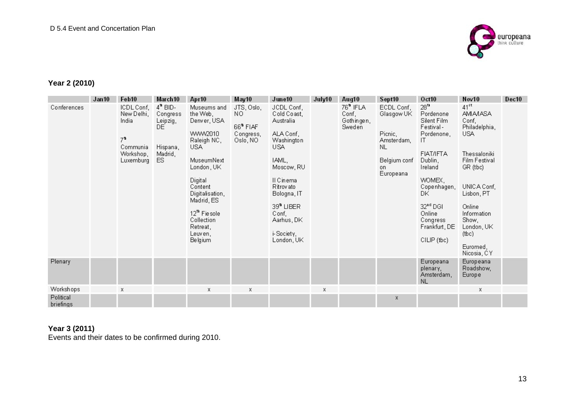

### **Year 2 (2010)**

|                        | Jan10 | Feb10                                                                                     | March 10                                                                     | Apr10                                                                                                                                                                                                                                         | May10                                                           | June10                                                                                                                                                                                                               | July10 | Aug10                                                 | Sept10                                                                                      | Oct10                                                                                                                                                                                                                                  | Nov10                                                                                                                                                                                                                              | Dec10 |
|------------------------|-------|-------------------------------------------------------------------------------------------|------------------------------------------------------------------------------|-----------------------------------------------------------------------------------------------------------------------------------------------------------------------------------------------------------------------------------------------|-----------------------------------------------------------------|----------------------------------------------------------------------------------------------------------------------------------------------------------------------------------------------------------------------|--------|-------------------------------------------------------|---------------------------------------------------------------------------------------------|----------------------------------------------------------------------------------------------------------------------------------------------------------------------------------------------------------------------------------------|------------------------------------------------------------------------------------------------------------------------------------------------------------------------------------------------------------------------------------|-------|
| Conferences            |       | ICDL Conf,<br>New Delhi,<br>India<br>7 <sup>6</sup><br>Communia<br>Workshop.<br>Luxemburg | $4^{\circ}$ BID-<br>Congress<br>Leipzig,<br>DE.<br>Hispana,<br>Madrid,<br>ES | Museums and<br>the Web,<br>Denver, USA<br>WWW2010<br>Raleigh NC,<br><b>USA</b><br>MuseumNext<br>London, UK<br>Digital<br>Content<br>Digitalisation,<br>Madrid, ES<br>12 <sup>th</sup> Fiesole<br>Collection<br>Retreat,<br>Leuven,<br>Belgium | JTS, Oslo,<br>NO.<br>$66^{\circ}$ FIAF<br>Congress,<br>Oslo, NO | JCDL Conf,<br>Cold Coast,<br>Australia<br>ALA Conf.<br>Washington<br>USA<br>IAML,<br>Moscow, RU<br>II Cinema<br>Ritrovato<br>Bologna, IT<br>39 <sup>t</sup> LIBER<br>Conf,<br>Aarhus, DK<br>i-Society,<br>London, UK |        | 76 <sup>ª</sup> IFLA<br>Conf,<br>Gothingen,<br>Sweden | ECDL Conf,<br>Glasgow UK<br>Picnic,<br>Amsterdam,<br>NL<br>Belgium conf<br>on.<br>Europeana | $28^n$<br>Pordenone<br>Silent Film<br>Festival-<br>Pordenone,<br>ΙT<br><b>FIAT/IFTA</b><br>Dublin,<br>Ireland<br>WOMEX,<br>Copenhagen,<br>DK.<br>32 <sup><sup>td</sup> DGI</sup><br>Online<br>Congress<br>Frankfurt, DE<br>CILIP (tbc) | $41^{st}$<br><b>AMIA/IASA</b><br>Conf,<br>Philadelphia,<br><b>USA</b><br>Thessaloniki<br>Film Festival<br>GR (tbc)<br>UNICA Conf,<br>Lisbon, PT<br>Online<br>Information<br>Show,<br>London, UK<br>(bc)<br>Euromed,<br>Nicosia, CY |       |
| Plenary                |       |                                                                                           |                                                                              |                                                                                                                                                                                                                                               |                                                                 |                                                                                                                                                                                                                      |        |                                                       |                                                                                             | Europeana<br>plenary.<br>Amsterdam,<br>NL                                                                                                                                                                                              | Europeana<br>Roadshow,<br>Europe                                                                                                                                                                                                   |       |
| Workshops              |       | Х                                                                                         |                                                                              | х                                                                                                                                                                                                                                             | х                                                               |                                                                                                                                                                                                                      | х      |                                                       |                                                                                             |                                                                                                                                                                                                                                        | х                                                                                                                                                                                                                                  |       |
| Political<br>briefings |       |                                                                                           |                                                                              |                                                                                                                                                                                                                                               |                                                                 |                                                                                                                                                                                                                      |        |                                                       | x                                                                                           |                                                                                                                                                                                                                                        |                                                                                                                                                                                                                                    |       |

### **Year 3 (2011)**

Events and their dates to be confirmed during 2010.